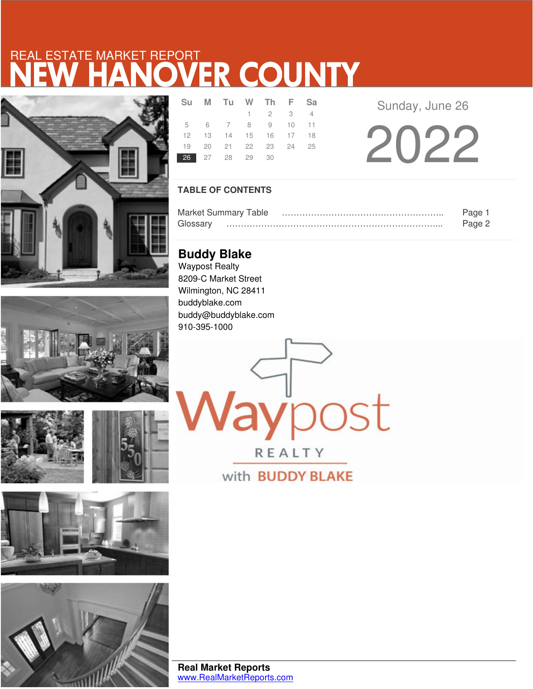# NEW HANOVER COUNTY REAL ESTATE MARKET REPORT











|                | Su M Tu W Th F Sa    |                 |  |  |
|----------------|----------------------|-----------------|--|--|
|                |                      | $1 \t2 \t3 \t4$ |  |  |
|                | 5 6 7 8 9 10 11      |                 |  |  |
|                | 12 13 14 15 16 17 18 |                 |  |  |
|                | 19 20 21 22 23 24 25 |                 |  |  |
| 26 27 28 29 30 |                      |                 |  |  |

Sunday, June 26

2022

### **TABLE OF CONTENTS**

|         | <b>Market Summary Table</b> | яне    |
|---------|-----------------------------|--------|
| GINSSAM |                             | $-200$ |

aypost

REALTY

with **BUDDY BLAKE** 

**Buddy Blake** Waypost Realty 8209-C Market Street Wilmington, NC 28411 buddyblake.com buddy@buddyblake.com 910-395-1000

**Real Market Reports** www.RealMarketReports.com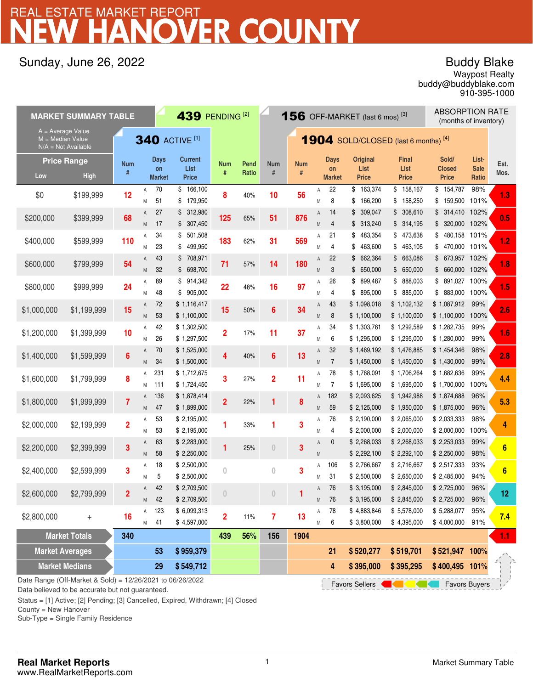## **TER COUNTY** REAL ESTATE MARKET REPORT

## Sunday, June 26, 2022

## Buddy Blake

buddy@buddyblake.com Waypost Realty 910-395-1000

| 439 PENDING <sup>[2]</sup><br><b>MARKET SUMMARY TABLE</b> |                                                                                                                                            |                 |        |                                    |                                        |                 |               |                         |                 | <b>156</b> OFF-MARKET (last 6 mos) <sup>[3]</sup> |                                    | <b>ABSORPTION RATE</b><br>(months of inventory) |                               |                                        |                               |              |
|-----------------------------------------------------------|--------------------------------------------------------------------------------------------------------------------------------------------|-----------------|--------|------------------------------------|----------------------------------------|-----------------|---------------|-------------------------|-----------------|---------------------------------------------------|------------------------------------|-------------------------------------------------|-------------------------------|----------------------------------------|-------------------------------|--------------|
|                                                           | $A = Average Value$<br><b>340 ACTIVE [1]</b><br>$M = Median Value$<br><b>1904</b> SOLD/CLOSED (last 6 months) [4]<br>$N/A = Not Available$ |                 |        |                                    |                                        |                 |               |                         |                 |                                                   |                                    |                                                 |                               |                                        |                               |              |
| Low                                                       | <b>Price Range</b><br><b>High</b>                                                                                                          | <b>Num</b><br># |        | <b>Days</b><br>on<br><b>Market</b> | <b>Current</b><br>List<br><b>Price</b> | <b>Num</b><br># | Pend<br>Ratio | <b>Num</b><br>#         | <b>Num</b><br># |                                                   | <b>Days</b><br>on<br><b>Market</b> | <b>Original</b><br>List<br><b>Price</b>         | Final<br>List<br><b>Price</b> | Sold/<br><b>Closed</b><br><b>Price</b> | List-<br><b>Sale</b><br>Ratio | Est.<br>Mos. |
| \$0                                                       | \$199,999                                                                                                                                  | 12              | Α<br>M | 70<br>51                           | \$166,100<br>179,950<br>\$             | 8               | 40%           | 10                      | 56              | Α<br>Μ                                            | 22<br>8                            | \$163,374<br>\$<br>166,200                      | \$158,167<br>\$158,250        | \$154,787<br>\$159,500                 | 98%<br>101%                   | 1.3          |
| \$200,000                                                 | \$399,999                                                                                                                                  | 68              | Α<br>M | 27<br>17                           | \$312,980<br>307,450<br>\$             | 125             | 65%           | 51                      | 876             | Α<br>M                                            | 14<br>4                            | 309,047<br>\$<br>313,240<br>\$                  | \$308,610<br>\$314,195        | \$ 314,410 102%<br>320,000 102%<br>\$  |                               | 0.5          |
| \$400,000                                                 | \$599,999                                                                                                                                  | 110             | Α<br>M | 34<br>23                           | \$<br>501,508<br>499,950<br>\$         | 183             | 62%           | 31                      | 569             | Α<br>M                                            | 21<br>4                            | 483,354<br>\$<br>463,600<br>\$                  | \$473,638<br>\$463,105        | 480,158<br>\$<br>\$<br>470,000 101%    | 101%                          | 1.2          |
| \$600,000                                                 | \$799,999                                                                                                                                  | 54              | Α<br>M | 43<br>32                           | \$708,971<br>\$698,700                 | 71              | 57%           | 14                      | 180             | Α<br>M                                            | 22<br>3                            | 662,364<br>\$<br>\$650,000                      | \$663,086<br>\$650,000        | \$ 673,957 102%<br>\$ 660,000 102%     |                               | 1.8          |
| \$800,000                                                 | \$999,999                                                                                                                                  | 24              | Α<br>M | 89<br>48                           | 914,342<br>S.<br>905,000<br>\$         | 22              | 48%           | 16                      | 97              | Α<br>M                                            | 26<br>4                            | 899,487<br>\$<br>895,000<br>\$                  | \$ 888,003<br>\$885,000       | \$891,027<br>883,000 100%<br>\$        | 100%                          | 1.5          |
| \$1,000,000                                               | \$1,199,999                                                                                                                                | 15              | A<br>M | 72<br>53                           | \$1,116,417<br>\$1,100,000             | 15              | 50%           | $6\phantom{1}6$         | 34              | Α<br>M                                            | 43<br>8                            | \$1,098,018<br>\$1,100,000                      | \$1,102,132<br>\$1,100,000    | \$1,087,912<br>\$1,100,000             | 99%<br>100%                   | 2.6          |
| \$1,200,000                                               | \$1,399,999                                                                                                                                | 10              | Α<br>M | 42<br>26                           | \$1,302,500<br>\$1,297,500             | $\overline{2}$  | 17%           | 11                      | 37              | Α<br>Μ                                            | 34<br>6                            | \$1,303,761<br>\$1,295,000                      | \$1,292,589<br>\$1,295,000    | \$1,282,735<br>\$1,280,000             | 99%<br>99%                    | 1.6          |
| \$1,400,000                                               | \$1,599,999                                                                                                                                | 6               | A<br>M | 70<br>34                           | \$1,525,000<br>\$1,500,000             | 4               | 40%           | $6\phantom{1}6$         | 13              | Α<br>M                                            | 32<br>$\overline{7}$               | \$1,469,192<br>\$1,450,000                      | \$1,476,885<br>\$1,450,000    | \$1,454,346<br>\$1,430,000             | 98%<br>99%                    | 2.8          |
| \$1,600,000                                               | \$1,799,999                                                                                                                                | 8               | Α<br>M | 231<br>111                         | \$1,712,675<br>\$1,724,450             | 3               | 27%           | $\overline{\mathbf{2}}$ | 11              | Α<br>Μ                                            | 78<br>$\overline{7}$               | \$1,768,091<br>\$1,695,000                      | \$1,706,264<br>\$1,695,000    | \$1,682,636<br>\$1,700,000             | 99%<br>100%                   | 4.4          |
| \$1,800,000                                               | \$1,999,999                                                                                                                                | 7               | A<br>M | 136<br>47                          | \$1,878,414<br>\$1,899,000             | $\overline{2}$  | 22%           | 1                       | 8               | Α<br>M                                            | 182<br>59                          | \$2,093,625<br>\$2,125,000                      | \$1,942,988<br>\$1,950,000    | \$1,874,688<br>\$1,875,000             | 96%<br>96%                    | 5.3          |
| \$2,000,000                                               | \$2,199,999                                                                                                                                | $\overline{2}$  | Α<br>M | 53<br>53                           | \$2,195,000<br>\$2,195,000             | 1               | 33%           | 1                       | 3               | Α<br>Μ                                            | 76<br>4                            | \$2,190,000<br>\$2,000,000                      | \$2,065,000<br>\$2,000,000    | \$2,033,333<br>\$2,000,000             | 98%<br>100%                   | 4            |
| \$2,200,000                                               | \$2,399,999                                                                                                                                | 3               | Α<br>M | 63<br>58                           | \$2,283,000<br>\$2,250,000             | 1               | 25%           | $\theta$                | 3               | Α<br>M                                            | 0                                  | \$2,268,033<br>\$2,292,100                      | \$2,268,033<br>\$2,292,100    | \$2,253,033<br>\$2,250,000             | 99%<br>98%                    | 6            |
| \$2,400,000                                               | \$2,599,999                                                                                                                                | 3               | Α<br>M | 18<br>5                            | \$2,500,000<br>\$2,500,000             | 0               |               | $\bf{0}$                | 3               | Α<br>M                                            | 106<br>31                          | \$2,766,667<br>\$2,500,000                      | \$2,716,667<br>\$2,650,000    | \$2,517,333<br>\$2,485,000             | 93%<br>94%                    | 6            |
| \$2,600,000                                               | \$2,799,999                                                                                                                                | $\overline{2}$  | Α<br>M | 42<br>42                           | \$2,709,500<br>\$2,709,500             | $\Box$          |               | $\theta$                |                 | Α<br>M                                            | 76<br>76                           | \$3,195,000<br>\$3,195,000                      | \$2,845,000<br>\$2,845,000    | \$2,725,000<br>\$2,725,000             | 96%<br>96%                    | 12           |
| \$2,800,000                                               | $^{+}$                                                                                                                                     | 16              | Α<br>M | 123<br>41                          | \$6,099,313<br>\$4,597,000             | $\overline{2}$  | 11%           | 7                       | 13              | Α<br>М                                            | 78<br>6                            | \$4,883,846<br>\$3,800,000                      | \$5,578,000<br>\$4,395,000    | \$5,288,077<br>\$4,000,000             | 95%<br>91%                    | 7.4          |
|                                                           | <b>Market Totals</b>                                                                                                                       | 340             |        |                                    |                                        | 439             | 56%           | 156                     | 1904            |                                                   |                                    |                                                 |                               |                                        |                               | 1.1          |
| <b>Market Averages</b>                                    |                                                                                                                                            |                 |        | 53                                 | \$959,379                              |                 |               |                         |                 |                                                   | 21                                 | \$520,277                                       | \$519,701                     | \$521,947 100%                         |                               |              |
|                                                           | <b>Market Medians</b><br>Date Range (Off-Market & Sold) = 12/26/2021 to 06/26/2022                                                         |                 |        | 29                                 | \$549,712                              |                 |               |                         |                 |                                                   | 4                                  | \$395,000<br><b>Favors Sellers</b>              | \$395,295                     | \$400,495 101%<br><b>Favors Buyers</b> |                               |              |

Data believed to be accurate but not guaranteed.

Status = [1] Active; [2] Pending; [3] Cancelled, Expired, Withdrawn; [4] Closed

County = New Hanover

Sub-Type = Single Family Residence